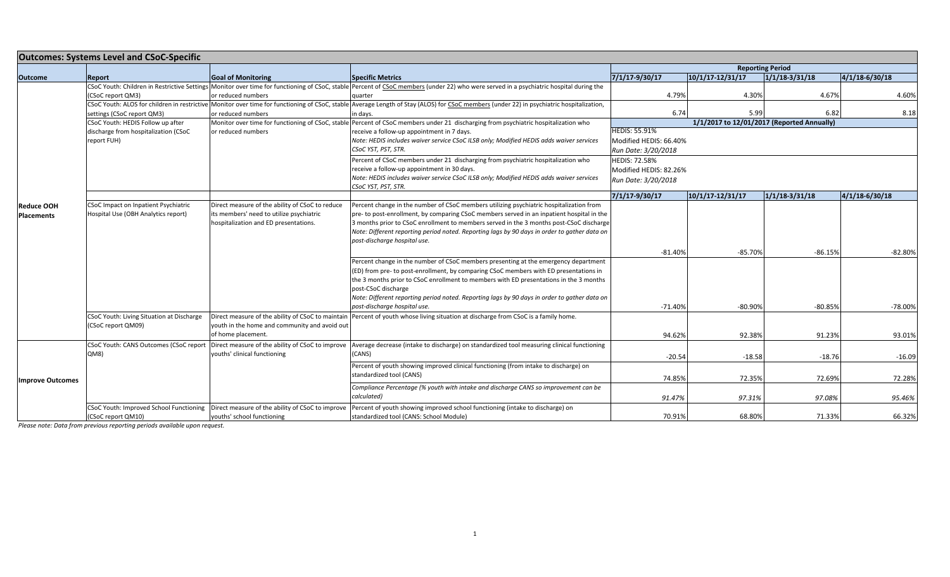| <b>Outcomes: Systems Level and CSoC-Specific</b> |                                                     |                                                  |                                                                                                                                                                                                           |                         |                      |                  |                  |
|--------------------------------------------------|-----------------------------------------------------|--------------------------------------------------|-----------------------------------------------------------------------------------------------------------------------------------------------------------------------------------------------------------|-------------------------|----------------------|------------------|------------------|
|                                                  |                                                     |                                                  |                                                                                                                                                                                                           | <b>Reporting Period</b> |                      |                  |                  |
| <b>Outcome</b>                                   | Report                                              | <b>Goal of Monitoring</b>                        | <b>Specific Metrics</b>                                                                                                                                                                                   | 7/1/17-9/30/17          | $10/1/17 - 12/31/17$ | $1/1/18$ 3/31/18 | $4/1/18-6/30/18$ |
|                                                  | CSoC report QM3)                                    | or reduced numbers                               | CSoC Youth: Children in Restrictive Settings Monitor over time for functioning of CSoC, stable Percent of CSoC members (under 22) who were served in a psychiatric hospital during the<br>quarter         | 4.79%                   | 4.30%                | 4.67%            | 4.60%            |
|                                                  |                                                     |                                                  | CSoC Youth: ALOS for children in restrictive Monitor over time for functioning of CSoC, stable Average Length of Stay (ALOS) for CSoC members (under 22) in psychiatric hospitalization,                  |                         |                      |                  |                  |
|                                                  | settings (CSoC report QM3)                          | or reduced numbers                               | in days.                                                                                                                                                                                                  | 6.74                    | 5.99                 | 6.82             | 8.18             |
|                                                  | CSoC Youth: HEDIS Follow up after                   |                                                  | Monitor over time for functioning of CSoC, stable Percent of CSoC members under 21 discharging from psychiatric hospitalization who<br>1/1/2017 to 12/01/2017 (Reported Annually)<br><b>HEDIS: 55.91%</b> |                         |                      |                  |                  |
|                                                  | discharge from hospitalization (CSoC<br>report FUH) | or reduced numbers                               | receive a follow-up appointment in 7 days.<br>Note: HEDIS includes waiver service CSoC ILSB only; Modified HEDIS adds waiver services                                                                     | Modified HEDIS: 66.40%  |                      |                  |                  |
|                                                  |                                                     |                                                  | CSoC YST, PST, STR.                                                                                                                                                                                       | Run Date: 3/20/2018     |                      |                  |                  |
|                                                  |                                                     |                                                  | Percent of CSoC members under 21 discharging from psychiatric hospitalization who                                                                                                                         | <b>HEDIS: 72.58%</b>    |                      |                  |                  |
|                                                  |                                                     |                                                  | receive a follow-up appointment in 30 days.                                                                                                                                                               | Modified HEDIS: 82.26%  |                      |                  |                  |
|                                                  |                                                     |                                                  | Note: HEDIS includes waiver service CSoC ILSB only; Modified HEDIS adds waiver services<br>CSoC YST, PST, STR.                                                                                            | Run Date: 3/20/2018     |                      |                  |                  |
|                                                  |                                                     |                                                  |                                                                                                                                                                                                           | 7/1/17-9/30/17          | $10/1/17 - 12/31/17$ | 1/1/18.3/31/18   | 4/1/18 6/30/18   |
| <b>Reduce OOH</b>                                | CSoC Impact on Inpatient Psychiatric                | Direct measure of the ability of CSoC to reduce  | Percent change in the number of CSoC members utilizing psychiatric hospitalization from                                                                                                                   |                         |                      |                  |                  |
| <b>Placements</b>                                | Hospital Use (OBH Analytics report)                 | its members' need to utilize psychiatric         | pre- to post-enrollment, by comparing CSoC members served in an inpatient hospital in the                                                                                                                 |                         |                      |                  |                  |
|                                                  |                                                     | hospitalization and ED presentations.            | 3 months prior to CSoC enrollment to members served in the 3 months post-CSoC discharge                                                                                                                   |                         |                      |                  |                  |
|                                                  |                                                     |                                                  | Note: Different reporting period noted. Reporting lags by 90 days in order to gather data on                                                                                                              |                         |                      |                  |                  |
|                                                  |                                                     |                                                  | post-discharge hospital use.                                                                                                                                                                              |                         |                      |                  |                  |
|                                                  |                                                     |                                                  |                                                                                                                                                                                                           | $-81.40%$               | $-85.70%$            | $-86.15%$        | $-82.80%$        |
|                                                  |                                                     |                                                  | Percent change in the number of CSoC members presenting at the emergency department                                                                                                                       |                         |                      |                  |                  |
|                                                  |                                                     |                                                  | (ED) from pre- to post-enrollment, by comparing CSoC members with ED presentations in                                                                                                                     |                         |                      |                  |                  |
|                                                  |                                                     |                                                  | the 3 months prior to CSoC enrollment to members with ED presentations in the 3 months                                                                                                                    |                         |                      |                  |                  |
|                                                  |                                                     |                                                  | post-CSoC discharge                                                                                                                                                                                       |                         |                      |                  |                  |
|                                                  |                                                     |                                                  | Note: Different reporting period noted. Reporting lags by 90 days in order to gather data on                                                                                                              |                         |                      |                  |                  |
|                                                  |                                                     |                                                  | post-discharge hospital use.                                                                                                                                                                              | $-71.40%$               | $-80.90%$            | $-80.85%$        | $-78.00%$        |
|                                                  | CSoC Youth: Living Situation at Discharge           |                                                  | Direct measure of the ability of CSoC to maintain Percent of youth whose living situation at discharge from CSoC is a family home.                                                                        |                         |                      |                  |                  |
|                                                  | (CSoC report QM09)                                  | youth in the home and community and avoid out    |                                                                                                                                                                                                           |                         |                      |                  |                  |
|                                                  |                                                     | of home placement.                               |                                                                                                                                                                                                           | 94.62%                  | 92.38%               | 91.23%           | 93.01%           |
|                                                  | CSoC Youth: CANS Outcomes (CSoC report              | Direct measure of the ability of CSoC to improve | Average decrease (intake to discharge) on standardized tool measuring clinical functioning                                                                                                                |                         |                      |                  |                  |
|                                                  | QM8                                                 | youths' clinical functioning                     | (CANS)                                                                                                                                                                                                    | $-20.54$                | $-18.58$             | $-18.76$         | $-16.09$         |
| <b>Improve Outcomes</b>                          |                                                     |                                                  | Percent of youth showing improved clinical functioning (from intake to discharge) on                                                                                                                      |                         |                      |                  |                  |
|                                                  |                                                     |                                                  | standardized tool (CANS)                                                                                                                                                                                  |                         |                      |                  |                  |
|                                                  |                                                     |                                                  |                                                                                                                                                                                                           | 74.85%                  | 72.35%               | 72.69%           | 72.28%           |
|                                                  |                                                     |                                                  | Compliance Percentage (% youth with intake and discharge CANS so improvement can be                                                                                                                       |                         |                      |                  |                  |
|                                                  |                                                     |                                                  | calculated)                                                                                                                                                                                               | 91.47%                  | 97.31%               | 97.08%           | 95.46%           |
|                                                  | CSoC Youth: Improved School Functioning             |                                                  | Direct measure of the ability of CSoC to improve Percent of youth showing improved school functioning (intake to discharge) on                                                                            |                         |                      |                  |                  |
|                                                  | (CSoC report QM10)                                  | youths' school functioning                       | standardized tool (CANS: School Module)                                                                                                                                                                   | 70.91%                  | 68.80%               | 71.33%           | 66.32%           |

*Please note: Data from previous reporting periods available upon request.*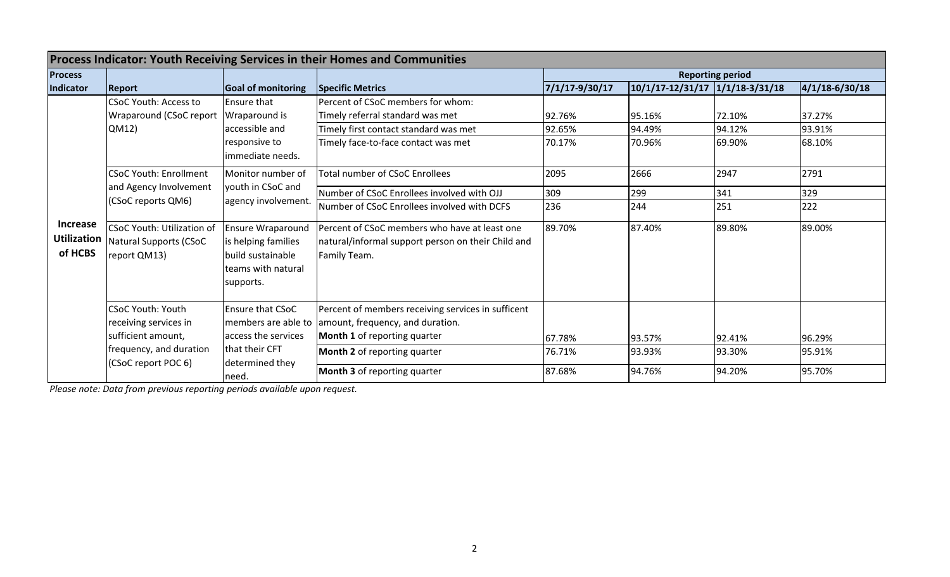| <b>Process Indicator: Youth Receiving Services in their Homes and Communities</b> |                                                                                                                                                      |                                                                                                         |                                                                                                                                                               |                            |                                 |                            |                            |  |  |
|-----------------------------------------------------------------------------------|------------------------------------------------------------------------------------------------------------------------------------------------------|---------------------------------------------------------------------------------------------------------|---------------------------------------------------------------------------------------------------------------------------------------------------------------|----------------------------|---------------------------------|----------------------------|----------------------------|--|--|
| <b>Process</b>                                                                    |                                                                                                                                                      |                                                                                                         |                                                                                                                                                               | <b>Reporting period</b>    |                                 |                            |                            |  |  |
| Indicator                                                                         | <b>Goal of monitoring</b><br><b>Report</b>                                                                                                           |                                                                                                         | <b>Specific Metrics</b>                                                                                                                                       | 7/1/17-9/30/17             | 10/1/17-12/31/17 1/1/18-3/31/18 |                            | $ 4/1/18-6/30/18 $         |  |  |
| <b>Increase</b><br><b>Utilization</b><br>of HCBS                                  | <b>CSoC Youth: Access to</b><br>Wraparound (CSoC report<br>QM12)                                                                                     | <b>Ensure that</b><br>Wraparound is<br>accessible and<br>responsive to<br>immediate needs.              | <b>IPercent of CSoC members for whom:</b><br>Timely referral standard was met<br>Timely first contact standard was met<br>Timely face-to-face contact was met | 92.76%<br>92.65%<br>70.17% | 95.16%<br>94.49%<br>70.96%      | 72.10%<br>94.12%<br>69.90% | 37.27%<br>93.91%<br>68.10% |  |  |
|                                                                                   | <b>CSoC Youth: Enrollment</b><br>and Agency Involvement<br>(CSoC reports QM6)                                                                        | Monitor number of<br>youth in CSoC and<br>agency involvement.                                           | Total number of CSoC Enrollees                                                                                                                                | 2095                       | 2666                            | 2947                       | 2791                       |  |  |
|                                                                                   |                                                                                                                                                      |                                                                                                         | Number of CSoC Enrollees involved with OJJ<br>Number of CSoC Enrollees involved with DCFS                                                                     | 309<br>236                 | 299<br>244                      | 341<br>251                 | 329<br>222                 |  |  |
|                                                                                   | <b>CSoC Youth: Utilization of</b><br>Natural Supports (CSoC<br>report QM13)                                                                          | <b>Ensure Wraparound</b><br>is helping families<br>build sustainable<br>teams with natural<br>supports. | Percent of CSoC members who have at least one<br>natural/informal support person on their Child and<br>Family Team.                                           | 89.70%                     | 87.40%                          | 89.80%                     | 89.00%                     |  |  |
|                                                                                   | <b>CSoC Youth: Youth</b><br>receiving services in<br>sufficient amount,<br>frequency, and duration<br>that their CFT<br>(CSoC report POC 6)<br>need. | Ensure that CSoC<br>access the services                                                                 | Percent of members receiving services in sufficent<br>members are able to amount, frequency, and duration.<br>Month 1 of reporting quarter                    | 67.78%                     | 93.57%                          | 92.41%                     | 96.29%                     |  |  |
|                                                                                   |                                                                                                                                                      | determined they                                                                                         | <b>Month 2</b> of reporting quarter                                                                                                                           | 76.71%                     | 93.93%                          | 93.30%                     | 95.91%                     |  |  |
|                                                                                   |                                                                                                                                                      |                                                                                                         | <b>Month 3</b> of reporting quarter                                                                                                                           | 87.68%                     | 94.76%                          | 94.20%                     | 95.70%                     |  |  |

*Please note: Data from previous reporting periods available upon request.*